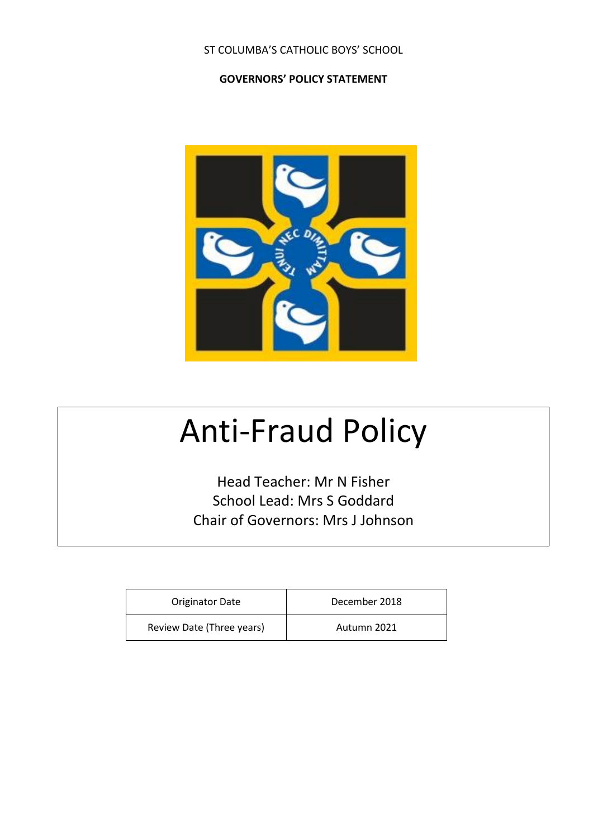#### ST COLUMBA'S CATHOLIC BOYS' SCHOOL

#### **GOVERNORS' POLICY STATEMENT**



# Anti-Fraud Policy

Head Teacher: Mr N Fisher School Lead: Mrs S Goddard Chair of Governors: Mrs J Johnson

| <b>Originator Date</b>    | December 2018 |
|---------------------------|---------------|
| Review Date (Three years) | Autumn 2021   |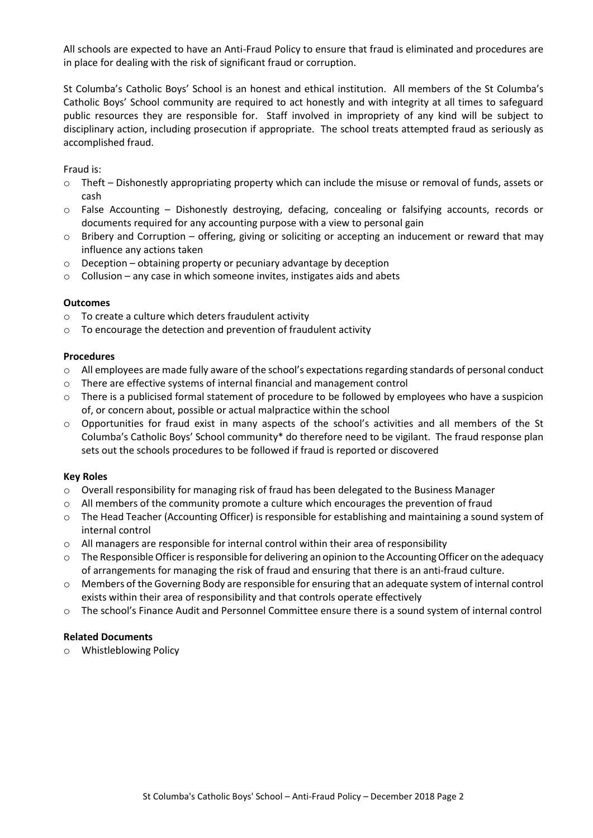All schools are expected to have an Anti-Fraud Policy to ensure that fraud is eliminated and procedures are in place for dealing with the risk of significant fraud or corruption.

St Columba's Catholic Boys' School is an honest and ethical institution. All members of the St Columba's Catholic Boys' School community are required to act honestly and with integrity at all times to safeguard public resources they are responsible for. Staff involved in impropriety of any kind will be subject to disciplinary action, including prosecution if appropriate. The school treats attempted fraud as seriously as accomplished fraud.

Fraud is:

- o Theft Dishonestly appropriating property which can include the misuse or removal of funds, assets or cash
- $\circ$  False Accounting Dishonestly destroying, defacing, concealing or falsifying accounts, records or documents required for any accounting purpose with a view to personal gain
- $\circ$  Bribery and Corruption offering, giving or soliciting or accepting an inducement or reward that may influence any actions taken
- $\circ$  Deception obtaining property or pecuniary advantage by deception
- $\circ$  Collusion any case in which someone invites, instigates aids and abets

#### **Outcomes**

- o To create a culture which deters fraudulent activity
- o To encourage the detection and prevention of fraudulent activity

#### **Procedures**

- $\circ$  All employees are made fully aware of the school's expectations regarding standards of personal conduct
- o There are effective systems of internal financial and management control
- $\circ$  There is a publicised formal statement of procedure to be followed by employees who have a suspicion of, or concern about, possible or actual malpractice within the school
- o Opportunities for fraud exist in many aspects of the school's activities and all members of the St Columba's Catholic Boys' School community\* do therefore need to be vigilant. The fraud response plan sets out the schools procedures to be followed if fraud is reported or discovered

#### **Key Roles**

- o Overall responsibility for managing risk of fraud has been delegated to the Business Manager
- $\circ$  All members of the community promote a culture which encourages the prevention of fraud
- o The Head Teacher (Accounting Officer) is responsible for establishing and maintaining a sound system of internal control
- $\circ$  All managers are responsible for internal control within their area of responsibility
- $\circ$  The Responsible Officer is responsible for delivering an opinion to the Accounting Officer on the adequacy of arrangements for managing the risk of fraud and ensuring that there is an anti-fraud culture.
- o Members of the Governing Body are responsible for ensuring that an adequate system of internal control exists within their area of responsibility and that controls operate effectively
- o The school's Finance Audit and Personnel Committee ensure there is a sound system of internal control

#### **Related Documents**

o Whistleblowing Policy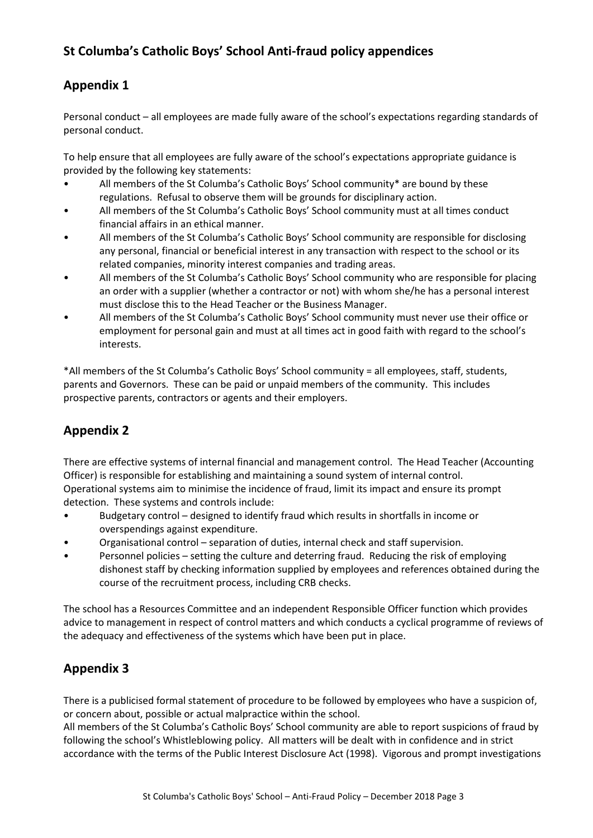## **St Columba's Catholic Boys' School Anti-fraud policy appendices**

## **Appendix 1**

Personal conduct – all employees are made fully aware of the school's expectations regarding standards of personal conduct.

To help ensure that all employees are fully aware of the school's expectations appropriate guidance is provided by the following key statements:

- All members of the St Columba's Catholic Boys' School community\* are bound by these regulations. Refusal to observe them will be grounds for disciplinary action.
- All members of the St Columba's Catholic Boys' School community must at all times conduct financial affairs in an ethical manner.
- All members of the St Columba's Catholic Boys' School community are responsible for disclosing any personal, financial or beneficial interest in any transaction with respect to the school or its related companies, minority interest companies and trading areas.
- All members of the St Columba's Catholic Boys' School community who are responsible for placing an order with a supplier (whether a contractor or not) with whom she/he has a personal interest must disclose this to the Head Teacher or the Business Manager.
- All members of the St Columba's Catholic Boys' School community must never use their office or employment for personal gain and must at all times act in good faith with regard to the school's interests.

\*All members of the St Columba's Catholic Boys' School community = all employees, staff, students, parents and Governors. These can be paid or unpaid members of the community. This includes prospective parents, contractors or agents and their employers.

## **Appendix 2**

There are effective systems of internal financial and management control. The Head Teacher (Accounting Officer) is responsible for establishing and maintaining a sound system of internal control. Operational systems aim to minimise the incidence of fraud, limit its impact and ensure its prompt detection. These systems and controls include:

- Budgetary control designed to identify fraud which results in shortfalls in income or overspendings against expenditure.
- Organisational control separation of duties, internal check and staff supervision.
- Personnel policies setting the culture and deterring fraud. Reducing the risk of employing dishonest staff by checking information supplied by employees and references obtained during the course of the recruitment process, including CRB checks.

The school has a Resources Committee and an independent Responsible Officer function which provides advice to management in respect of control matters and which conducts a cyclical programme of reviews of the adequacy and effectiveness of the systems which have been put in place.

#### **Appendix 3**

There is a publicised formal statement of procedure to be followed by employees who have a suspicion of, or concern about, possible or actual malpractice within the school.

All members of the St Columba's Catholic Boys' School community are able to report suspicions of fraud by following the school's Whistleblowing policy. All matters will be dealt with in confidence and in strict accordance with the terms of the Public Interest Disclosure Act (1998). Vigorous and prompt investigations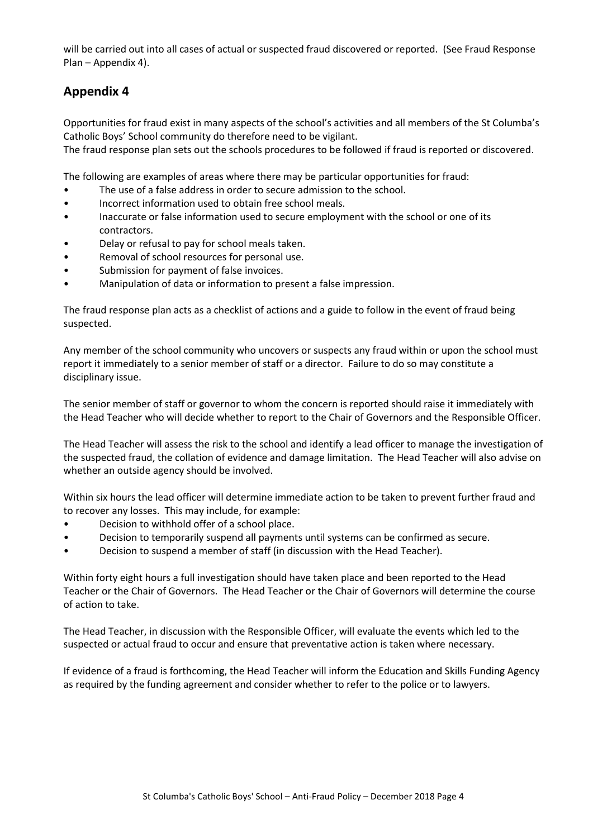will be carried out into all cases of actual or suspected fraud discovered or reported. (See Fraud Response Plan – Appendix 4).

#### **Appendix 4**

Opportunities for fraud exist in many aspects of the school's activities and all members of the St Columba's Catholic Boys' School community do therefore need to be vigilant.

The fraud response plan sets out the schools procedures to be followed if fraud is reported or discovered.

The following are examples of areas where there may be particular opportunities for fraud:

- The use of a false address in order to secure admission to the school.
- Incorrect information used to obtain free school meals.
- Inaccurate or false information used to secure employment with the school or one of its contractors.
- Delay or refusal to pay for school meals taken.
- Removal of school resources for personal use.
- Submission for payment of false invoices.
- Manipulation of data or information to present a false impression.

The fraud response plan acts as a checklist of actions and a guide to follow in the event of fraud being suspected.

Any member of the school community who uncovers or suspects any fraud within or upon the school must report it immediately to a senior member of staff or a director. Failure to do so may constitute a disciplinary issue.

The senior member of staff or governor to whom the concern is reported should raise it immediately with the Head Teacher who will decide whether to report to the Chair of Governors and the Responsible Officer.

The Head Teacher will assess the risk to the school and identify a lead officer to manage the investigation of the suspected fraud, the collation of evidence and damage limitation. The Head Teacher will also advise on whether an outside agency should be involved.

Within six hours the lead officer will determine immediate action to be taken to prevent further fraud and to recover any losses. This may include, for example:

- Decision to withhold offer of a school place.
- Decision to temporarily suspend all payments until systems can be confirmed as secure.
- Decision to suspend a member of staff (in discussion with the Head Teacher).

Within forty eight hours a full investigation should have taken place and been reported to the Head Teacher or the Chair of Governors. The Head Teacher or the Chair of Governors will determine the course of action to take.

The Head Teacher, in discussion with the Responsible Officer, will evaluate the events which led to the suspected or actual fraud to occur and ensure that preventative action is taken where necessary.

If evidence of a fraud is forthcoming, the Head Teacher will inform the Education and Skills Funding Agency as required by the funding agreement and consider whether to refer to the police or to lawyers.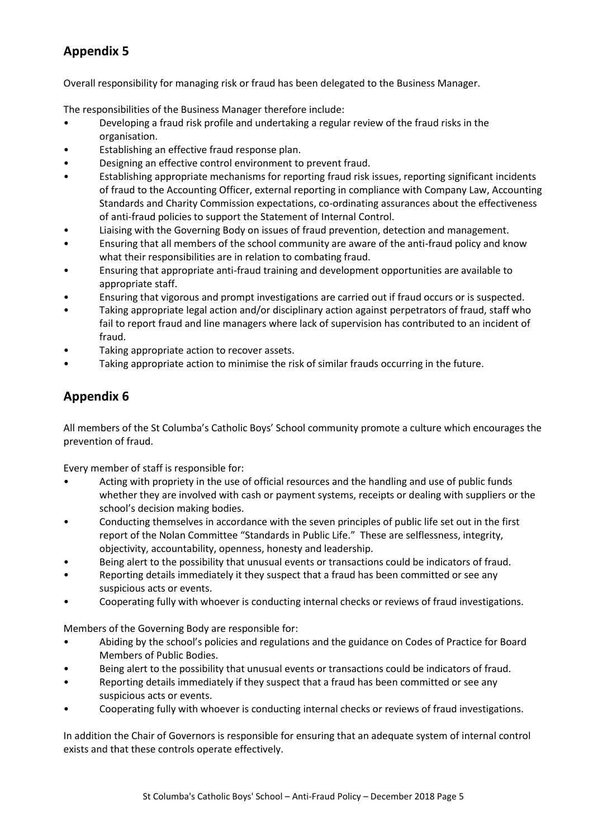# **Appendix 5**

Overall responsibility for managing risk or fraud has been delegated to the Business Manager.

The responsibilities of the Business Manager therefore include:

- Developing a fraud risk profile and undertaking a regular review of the fraud risks in the organisation.
- Establishing an effective fraud response plan.
- Designing an effective control environment to prevent fraud.
- Establishing appropriate mechanisms for reporting fraud risk issues, reporting significant incidents of fraud to the Accounting Officer, external reporting in compliance with Company Law, Accounting Standards and Charity Commission expectations, co-ordinating assurances about the effectiveness of anti-fraud policies to support the Statement of Internal Control.
- Liaising with the Governing Body on issues of fraud prevention, detection and management.
- Ensuring that all members of the school community are aware of the anti-fraud policy and know what their responsibilities are in relation to combating fraud.
- Ensuring that appropriate anti-fraud training and development opportunities are available to appropriate staff.
- Ensuring that vigorous and prompt investigations are carried out if fraud occurs or is suspected.
- Taking appropriate legal action and/or disciplinary action against perpetrators of fraud, staff who fail to report fraud and line managers where lack of supervision has contributed to an incident of fraud.
- Taking appropriate action to recover assets.
- Taking appropriate action to minimise the risk of similar frauds occurring in the future.

#### **Appendix 6**

All members of the St Columba's Catholic Boys' School community promote a culture which encourages the prevention of fraud.

Every member of staff is responsible for:

- Acting with propriety in the use of official resources and the handling and use of public funds whether they are involved with cash or payment systems, receipts or dealing with suppliers or the school's decision making bodies.
- Conducting themselves in accordance with the seven principles of public life set out in the first report of the Nolan Committee "Standards in Public Life." These are selflessness, integrity, objectivity, accountability, openness, honesty and leadership.
- Being alert to the possibility that unusual events or transactions could be indicators of fraud.
- Reporting details immediately it they suspect that a fraud has been committed or see any suspicious acts or events.
- Cooperating fully with whoever is conducting internal checks or reviews of fraud investigations.

Members of the Governing Body are responsible for:

- Abiding by the school's policies and regulations and the guidance on Codes of Practice for Board Members of Public Bodies.
- Being alert to the possibility that unusual events or transactions could be indicators of fraud.
- Reporting details immediately if they suspect that a fraud has been committed or see any suspicious acts or events.
- Cooperating fully with whoever is conducting internal checks or reviews of fraud investigations.

In addition the Chair of Governors is responsible for ensuring that an adequate system of internal control exists and that these controls operate effectively.